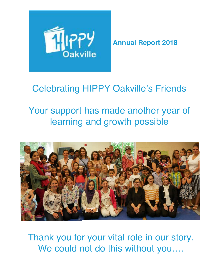

**Annual Report 2018**

# Celebrating HIPPY Oakville's Friends

# Your support has made another year of learning and growth possible



Thank you for your vital role in our story. We could not do this without you....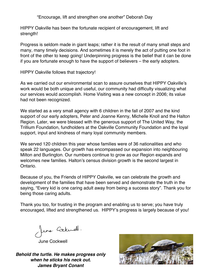"Encourage, lift and strengthen one another" Deborah Day

HIPPY Oakville has been the fortunate recipient of encouragement, lift and strength!

Progress is seldom made in giant leaps; rather it is the result of many small steps and many, many timely decisions. And sometimes it is merely the act of putting one foot in front of the other to keep going! Underpinning progress is the belief that it can be done if you are fortunate enough to have the support of believers – the early adopters.

HIPPY Oakville follows that trajectory!

As we carried out our environmental scan to assure ourselves that HIPPY Oakville's work would be both unique and useful, our community had difficulty visualizing what our services would accomplish. Home Visiting was a new concept in 2006; its value had not been recognized.

We started as a very small agency with 6 children in the fall of 2007 and the kind support of our early adopters, Peter and Joanne Kenny, Michelle Knoll and the Halton Region. Later, we were blessed with the generous support of The United Way, the Trillium Foundation, fundholders at the Oakville Community Foundation and the loyal support, input and kindness of many loyal community members.

We served 120 children this year whose families were of 36 nationalities and who speak 22 languages. Our growth has encompassed our expansion into neighbouring Milton and Burlington. Our numbers continue to grow as our Region expands and welcomes new families. Halton's census division growth is the second largest in Ontario.

Because of you, the Friends of HIPPY Oakville, we can celebrate the growth and development of the families that have been served and demonstrate the truth in the saying, "Every kid is one caring adult away from being a success story". Thank you for being those caring adults.

Thank you too, for trusting in the program and enabling us to serve; you have truly encouraged, lifted and strengthened us. HIPPY's progress is largely because of you!

June Carkwell.<br>June Cockwell

*Behold the turtle. He makes progress only when he sticks his neck out. James Bryant Conant*

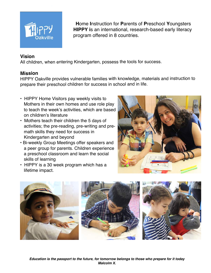

**program offered in 8 countries. H**ome **I**nstruction for **P**arents of **P**reschool **Y**oungsters **HIPPY i**s an international, research-based early literacy

### **Vision**

All children, when entering Kindergarten, possess the tools for success.

#### **Mission**

HIPPY Oakville provides vulnerable families with knowledge, materials and instruction to prepare their preschool children for success in school and in life.

- HIPPY Home Visitors pay weekly visits to Mothers in their own homes and use role play to teach the week's activities, which are based on children's literature
- Mothers teach their children the 5 days of activities; the pre-reading, pre-writing and pre- math skills they need for success in Kindergarten and beyond
- Bi-weekly Group Meetings offer speakers and a peer group for parents. Children experience a preschool classroom and learn the social skills of learning
- HIPPY is a 30 week program which has a lifetime impact.



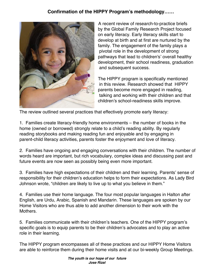### **Confirmation of the HIPPY Program's methodology……**



 A recent review of research-to-practice briefs by the Global Family Research Project focused on early literacy. Early literacy skills start to develop at birth and at first are nurtured by the family. The engagement of the family plays a pivotal role in the development of strong pathways that lead to children's' overall healthy development, their school readiness, graduation and subsequent success.

 The HIPPY program is specifically mentioned in this review. Research showed that HIPPY parents become more engaged in reading, talking and working with their children and that children's school-readiness skills improve.

The review outlined several practices that effectively promote early literacy:

1. Families create literacy-friendly home environments – the number of books in the home (owned or borrowed) strongly relate to a child's reading ability. By regularly reading storybooks and making reading fun and enjoyable and by engaging in parent-child literacy activities, parents foster the enjoyment and love of literacy.

2. Families have ongoing and engaging conversations with their children. The number of words heard are important, but rich vocabulary, complex ideas and discussing past and future events are now seen as possibly being even more important.

3. Families have high expectations of their children and their learning. Parents' sense of responsibility for their children's education helps to form their expectations. As Lady Bird Johnson wrote, "children are likely to live up to what you believe in them."

4. Families use their home language. The four most popular languages in Halton after English, are Urdu, Arabic, Spanish and Mandarin. These languages are spoken by our Home Visitors who are thus able to add another dimension to their work with the Mothers.

5. Families communicate with their children's teachers. One of the HIPPY program's specific goals is to equip parents to be their children's advocates and to play an active role in their learning.

The HIPPY program encompasses all of these practices and our HIPPY Home Visitors are able to reinforce them during their home visits and at our bi-weekly Group Meetings.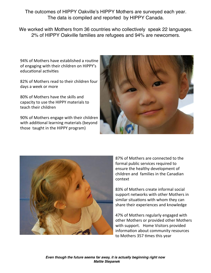The outcomes of HIPPY Oakville's HIPPY Mothers are surveyed each year. The data is compiled and reported by HIPPY Canada.

We worked with Mothers from 36 countries who collectively speak 22 languages. 2% of HIPPY Oakville families are refugees and 94% are newcomers.

94% of Mothers have established a routine of engaging with their children on HIPPY's educational activities

82% of Mothers read to their children four days a week or more

80% of Mothers have the skills and capacity to use the HIPPY materials to teach their children

90% of Mothers engage with their children with additional learning materials (beyond those taught in the HIPPY program)





87% of Mothers are connected to the formal public services required to ensure the healthy development of children and families in the Canadian context

83% of Mothers create informal social support networks with other Mothers in similar situations with whom they can share their experiences and knowledge

47% of Mothers regularly engaged with other Mothers or provided other Mothers with support. Home Visitors provided information about community resources to Mothers 357 times this year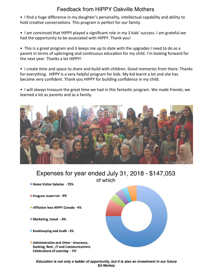## Feedback from HIPPY Oakville Mothers

- I find a huge difference in my daughter's personality, intellectual capability and ability to hold creative conversations. This program is perfect for our family.
- I am convinced that HIPPY played a significant role in my 3 kids' success. I am grateful we had the opportunity to be associated with HIPPY. Thank you!

• This is a great program and it keeps me up to date with the upgrades I need to do as a parent in terms of upbringing and continuous education for my child. I'm looking forward for the next year. Thanks a lot HIPPY!

• I create time and space to share and build with children. Good memories from there. Thanks for everything. HIPPY is a very helpful program for kids. My kid learnt a lot and she has become very confident. Thank you HIPPY for building confidence in my child.

• I will always treasure the great time we had in this fantastic program. We made friends; we learned a lot as parents and as a family.



Expenses for year ended July 31, 2018 - \$147,053 of which

- Home Visitor Salaries 75%
- Program materials 9%
- Affliation fees HIPPY Canada 4%
- Marketing, travel 4%
- **Bookkeeping and Audit 3%**
- Administration and Other Insurance, Banking, Rent, IT and Communications, **Celebrations of Learning - 5%**



*Education is not only a ladder of opportunity, but it is also an investment in our future Ed Markey*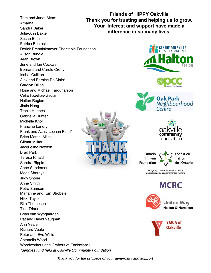Tom and Janet Alton\* Amarna Sandra Baker Julie-Ann Baxter Susan Both Patrica Boutasis Derick Brenninkmeyer Charitable Foundation Alison Brindle Jean Brown June and Ian Cockwell Bernard and Carole Crotty Isobel Culliton Alex and Bernice De Maio\* Carolyn Dillon Rose and Michael Farquharson Celia Fazekas-Gyulai Halton Region Jimin Hong Tracie Hughes Gabriella Hunter Michelle Knoll Francine Landry Frank and Azniv Lochan Fund\* Britta Martini-Miles Gilmar Militar Jacqueline Newton Brad Park Teresa Rinaldi Sandra Rippin Anne Sanderson Mags Shorey\* Judy Shone Anne Smith Petra Samson Marianne and Kurt Strobele Nikki Taylor Rita Thompson Tina Triano Brian van Wyngaarden Pat and David Vaughan Ann Veale Richard Veale Peter and Eve Willis Antonella Wood Woodworkers and Crafters of Ennisclare II *\*denotes fund held at Oakville Community Foundation*

**Friends of HIPPY Oakville Thank you for trusting and helping us to grow. Your interest and support have made a difference in so many lives.**





Ontario Fondation Trillium Trillium de l'Ontario Foundation

> An agency of the Government of Ontario Un organisme du gouvernement de l'Ontario

# **MCRC**



**United Way Halton & Hamilton** 



*Thank you for the privilege of your generosity and support*